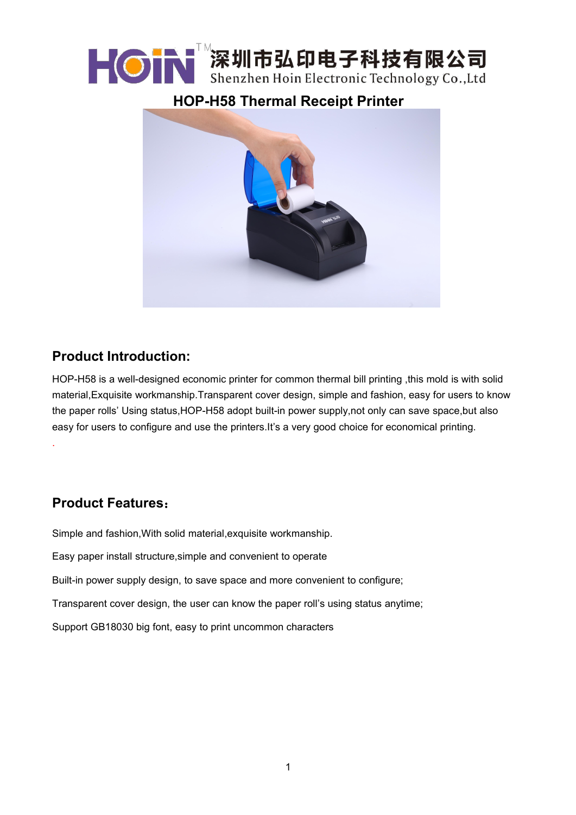# ┣ ◎ N 深圳市弘印电子科技有限公司 Shenzhen Hoin Electronic Technology Co., Ltd

# **HOP-H58 Thermal Receipt Printer**



# **Product Introduction:**

HOP-H58 is a well-designed economic printer for common thermal bill printing ,this mold is with solid material,Exquisite workmanship.Transparent cover design, simple and fashion, easy for users to know the paper rolls' Using status,HOP-H58 adopt built-in power supply,not only can save space,but also easy for users to configure and use the printers.It's a very good choice for economical printing.

## **Product Features**:

.

Simple and fashion,With solid material,exquisite workmanship.

Easy paper install structure,simple and convenient to operate

Built-in power supply design, to save space and more convenient to configure;

Transparent cover design, the user can know the paper roll's using status anytime;

Support GB18030 big font, easy to print uncommon characters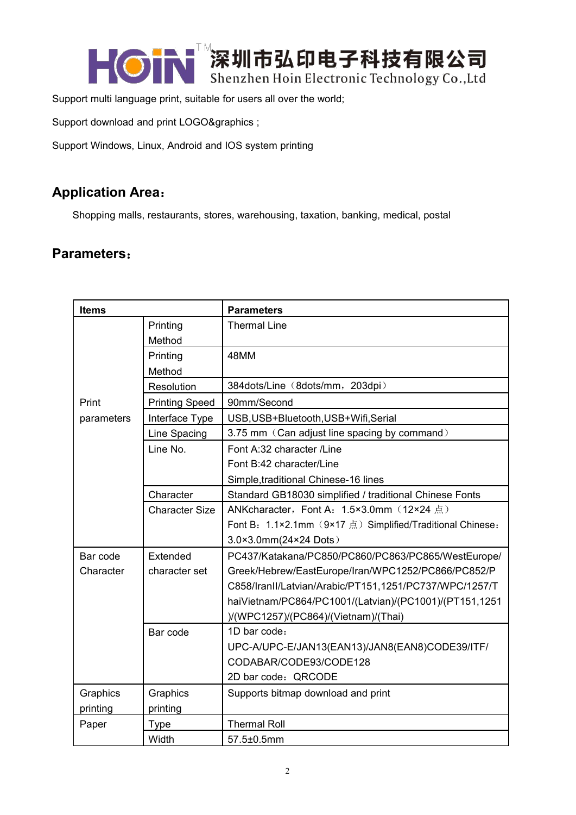┣ ◎ kenzhen Hoin Electronic Technology Co. Ltd Shenzhen Hoin Electronic Technology Co., Ltd

Support multi language print, suitable for users all over the world;

Support download and print LOGO&graphics ;

Support Windows, Linux, Android and IOS system printing

### **Application Area**:

Shopping malls, restaurants, stores, warehousing, taxation, banking, medical, postal

#### **Parameters**:

| <b>Items</b> |                       | <b>Parameters</b>                                          |
|--------------|-----------------------|------------------------------------------------------------|
|              | Printing              | <b>Thermal Line</b>                                        |
|              | Method                |                                                            |
|              | Printing              | 48MM                                                       |
|              | Method                |                                                            |
|              | Resolution            | 384dots/Line (8dots/mm, 203dpi)                            |
| Print        | <b>Printing Speed</b> | 90mm/Second                                                |
| parameters   | Interface Type        | USB, USB+Bluetooth, USB+Wifi, Serial                       |
|              | Line Spacing          | 3.75 mm (Can adjust line spacing by command)               |
|              | Line No.              | Font A:32 character /Line                                  |
|              |                       | Font B:42 character/Line                                   |
|              |                       | Simple, traditional Chinese-16 lines                       |
|              | Character             | Standard GB18030 simplified / traditional Chinese Fonts    |
|              | <b>Character Size</b> | ANKcharacter, Font A: 1.5×3.0mm (12×24 点)                  |
|              |                       | Font B: 1.1×2.1mm (9×17 点) Simplified/Traditional Chinese: |
|              |                       | 3.0×3.0mm(24×24 Dots)                                      |
| Bar code     | Extended              | PC437/Katakana/PC850/PC860/PC863/PC865/WestEurope/         |
| Character    | character set         | Greek/Hebrew/EastEurope/Iran/WPC1252/PC866/PC852/P         |
|              |                       | C858/IranII/Latvian/Arabic/PT151,1251/PC737/WPC/1257/T     |
|              |                       | haiVietnam/PC864/PC1001/(Latvian)/(PC1001)/(PT151,1251     |
|              |                       | )/(WPC1257)/(PC864)/(Vietnam)/(Thai)                       |
|              | Bar code              | 1D bar code:                                               |
|              |                       | UPC-A/UPC-E/JAN13(EAN13)/JAN8(EAN8)CODE39/ITF/             |
|              |                       | CODABAR/CODE93/CODE128                                     |
|              |                       | 2D bar code: QRCODE                                        |
| Graphics     | Graphics              | Supports bitmap download and print                         |
| printing     | printing              |                                                            |
| Paper        | <b>Type</b>           | <b>Thermal Roll</b>                                        |
|              | Width                 | 57.5±0.5mm                                                 |